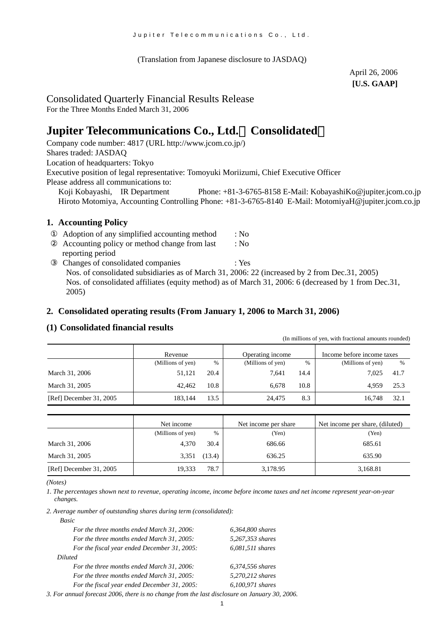(Translation from Japanese disclosure to JASDAQ)

April 26, 2006 **[U.S. GAAP]** 

(In millions of yen, with fractional amounts rounded)

# Consolidated Quarterly Financial Results Release

For the Three Months Ended March 31, 2006

# **Jupiter Telecommunications Co., Ltd.**(**Consolidated**)

Company code number: 4817 (URL [http://www.jcom.co.jp/](http://www.jcomxxxxxxxxx.co.jp/)) Shares traded: JASDAQ Location of headquarters: Tokyo Executive position of legal representative: Tomoyuki Moriizumi, Chief Executive Officer Please address all communications to:<br>Koji Kobayashi, IR Department

Phone: +81-3-6765-8158 E-Mail: [KobayashiKo@jupiter.jcom.co.jp](mailto:KobayashiKo@jupiter.jcom.co.jp) Hiroto Motomiya, Accounting Controlling Phone: +81-3-6765-8140 E-Mail: MotomiyaH@jupiter.jcom.co.jp

### **1. Accounting Policy**

| Adoption of any simplified accounting method                                                   | : No                                                                                                 |
|------------------------------------------------------------------------------------------------|------------------------------------------------------------------------------------------------------|
| Accounting policy or method change from last                                                   | : No                                                                                                 |
| reporting period                                                                               |                                                                                                      |
| Changes of consolidated companies                                                              | : Yes                                                                                                |
| Nos. of consolidated subsidiaries as of March 31, 2006: 22 (increased by 2 from Dec. 31, 2005) |                                                                                                      |
|                                                                                                | Nos. of consolidated affiliates (equity method) as of March 31, 2006: 6 (decreased by 1 from Dec.31, |
| 2005)                                                                                          |                                                                                                      |

#### **2. Consolidated operating results (From January 1, 2006 to March 31, 2006)**

### **(1) Consolidated financial results**

|                         |                   |      |                   |      | $\mu$ and $\mu$ and $\mu$ and $\mu$ and $\mu$ and $\mu$ and $\mu$ and $\mu$ |      |
|-------------------------|-------------------|------|-------------------|------|-----------------------------------------------------------------------------|------|
|                         | Revenue           |      | Operating income  |      | Income before income taxes                                                  |      |
|                         | (Millions of yen) | %    | (Millions of yen) | $\%$ | (Millions of yen)                                                           | %    |
| March 31, 2006          | 51,121            | 20.4 | 7.641             | 14.4 | 7.025                                                                       | 41.7 |
| March 31, 2005          | 42,462            | 10.8 | 6.678             | 10.8 | 4.959                                                                       | 25.3 |
| [Ref] December 31, 2005 | 183.144           | 13.5 | 24,475            | 8.3  | 16.748                                                                      | 32.1 |
|                         |                   |      |                   |      |                                                                             |      |

|                         | Net income        |        | Net income per share | Net income per share, (diluted) |  |
|-------------------------|-------------------|--------|----------------------|---------------------------------|--|
|                         | (Millions of yen) | $\%$   | (Yen)                | (Yen)                           |  |
| March 31, 2006          | 4.370             | 30.4   | 686.66               | 685.61                          |  |
| March 31, 2005          | 3,351             | (13.4) | 636.25               | 635.90                          |  |
| [Ref] December 31, 2005 | 19,333            | 78.7   | 3,178.95             | 3,168.81                        |  |

*<sup>(</sup>Notes)* 

*1. The percentages shown next to revenue, operating income, income before income taxes and net income represent year-on-year changes.*

*2. Average number of outstanding shares during term (consolidated):*

| 6,364,800 shares   |
|--------------------|
| 5,267,353 shares   |
| $6,081,511$ shares |
|                    |
| 6,374,556 shares   |
| 5,270,212 shares   |
| 6,100,971 shares   |
|                    |

*3. For annual forecast 2006, there is no change from the last disclosure on January 30, 2006.*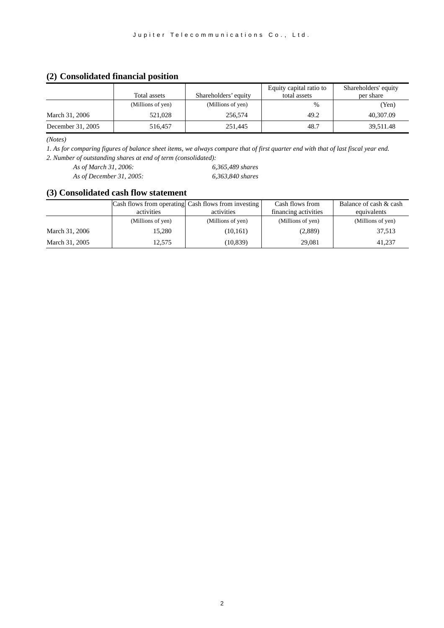## **(2) Consolidated financial position**

|                   |                   |                      | Equity capital ratio to | Shareholders' equity |
|-------------------|-------------------|----------------------|-------------------------|----------------------|
|                   | Total assets      | Shareholders' equity | total assets            | per share            |
|                   | (Millions of yen) | (Millions of yen)    | $\%$                    | (Yen)                |
| March 31, 2006    | 521,028           | 256,574              | 49.2                    | 40,307.09            |
| December 31, 2005 | 516.457           | 251.445              | 48.7                    | 39,511.48            |

*(Notes)* 

*1. As for comparing figures of balance sheet items, we always compare that of first quarter end with that of last fiscal year end. 2. Number of outstanding shares at end of term (consolidated):*

*As of March 31, 2006: 6,365,489 shares As of December 31, 2005: 6,363,840 shares*

### **(3) Consolidated cash flow statement**

|                | activities        | Cash flows from operating Cash flows from investing<br>activities | Cash flows from<br>financing activities | Balance of cash & cash<br>equivalents |
|----------------|-------------------|-------------------------------------------------------------------|-----------------------------------------|---------------------------------------|
|                | (Millions of yen) | (Millions of yen)                                                 | (Millions of yen)                       | (Millions of yen)                     |
| March 31, 2006 | 15,280            | (10,161)                                                          | (2,889)                                 | 37,513                                |
| March 31, 2005 | 12.575            | (10, 839)                                                         | 29.081                                  | 41.237                                |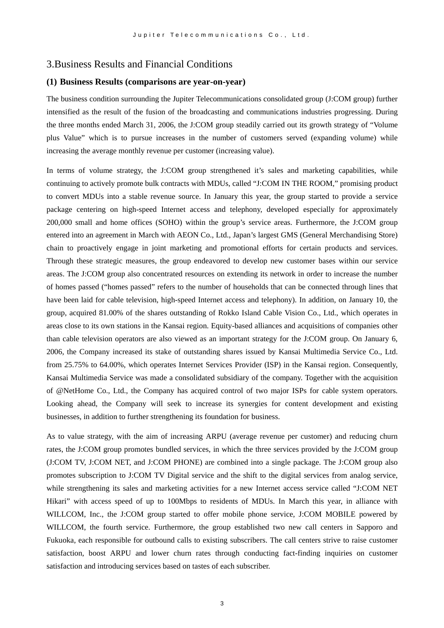### 3.Business Results and Financial Conditions

#### **(1) Business Results (comparisons are year-on-year)**

The business condition surrounding the Jupiter Telecommunications consolidated group (J:COM group) further intensified as the result of the fusion of the broadcasting and communications industries progressing. During the three months ended March 31, 2006, the J:COM group steadily carried out its growth strategy of "Volume plus Value" which is to pursue increases in the number of customers served (expanding volume) while increasing the average monthly revenue per customer (increasing value).

In terms of volume strategy, the J:COM group strengthened it's sales and marketing capabilities, while continuing to actively promote bulk contracts with MDUs, called "J:COM IN THE ROOM," promising product to convert MDUs into a stable revenue source. In January this year, the group started to provide a service package centering on high-speed Internet access and telephony, developed especially for approximately 200,000 small and home offices (SOHO) within the group's service areas. Furthermore, the J:COM group entered into an agreement in March with AEON Co., Ltd., Japan's largest GMS (General Merchandising Store) chain to proactively engage in joint marketing and promotional efforts for certain products and services. Through these strategic measures, the group endeavored to develop new customer bases within our service areas. The J:COM group also concentrated resources on extending its network in order to increase the number of homes passed ("homes passed" refers to the number of households that can be connected through lines that have been laid for cable television, high-speed Internet access and telephony). In addition, on January 10, the group, acquired 81.00% of the shares outstanding of Rokko Island Cable Vision Co., Ltd., which operates in areas close to its own stations in the Kansai region. Equity-based alliances and acquisitions of companies other than cable television operators are also viewed as an important strategy for the J:COM group. On January 6, 2006, the Company increased its stake of outstanding shares issued by Kansai Multimedia Service Co., Ltd. from 25.75% to 64.00%, which operates Internet Services Provider (ISP) in the Kansai region. Consequently, Kansai Multimedia Service was made a consolidated subsidiary of the company. Together with the acquisition of @NetHome Co., Ltd., the Company has acquired control of two major ISPs for cable system operators. Looking ahead, the Company will seek to increase its synergies for content development and existing businesses, in addition to further strengthening its foundation for business.

As to value strategy, with the aim of increasing ARPU (average revenue per customer) and reducing churn rates, the J:COM group promotes bundled services, in which the three services provided by the J:COM group (J:COM TV, J:COM NET, and J:COM PHONE) are combined into a single package. The J:COM group also promotes subscription to J:COM TV Digital service and the shift to the digital services from analog service, while strengthening its sales and marketing activities for a new Internet access service called "J:COM NET Hikari" with access speed of up to 100Mbps to residents of MDUs. In March this year, in alliance with WILLCOM, Inc., the J:COM group started to offer mobile phone service, J:COM MOBILE powered by WILLCOM, the fourth service. Furthermore, the group established two new call centers in Sapporo and Fukuoka, each responsible for outbound calls to existing subscribers. The call centers strive to raise customer satisfaction, boost ARPU and lower churn rates through conducting fact-finding inquiries on customer satisfaction and introducing services based on tastes of each subscriber.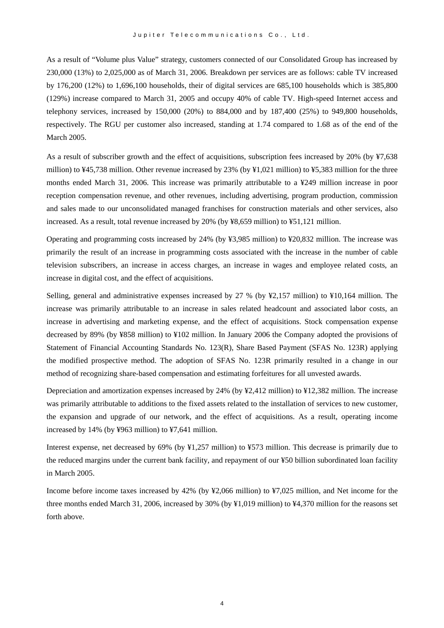As a result of "Volume plus Value" strategy, customers connected of our Consolidated Group has increased by 230,000 (13%) to 2,025,000 as of March 31, 2006. Breakdown per services are as follows: cable TV increased by 176,200 (12%) to 1,696,100 households, their of digital services are 685,100 households which is 385,800 (129%) increase compared to March 31, 2005 and occupy 40% of cable TV. High-speed Internet access and telephony services, increased by  $150,000$  (20%) to  $884,000$  and by  $187,400$  (25%) to 949,800 households, respectively. The RGU per customer also increased, standing at 1.74 compared to 1.68 as of the end of the March 2005.

As a result of subscriber growth and the effect of acquisitions, subscription fees increased by 20% (by ¥7,638 million) to ¥45,738 million. Other revenue increased by 23% (by ¥1,021 million) to ¥5,383 million for the three months ended March 31, 2006. This increase was primarily attributable to a ¥249 million increase in poor reception compensation revenue, and other revenues, including advertising, program production, commission and sales made to our unconsolidated managed franchises for construction materials and other services, also increased. As a result, total revenue increased by 20% (by ¥8,659 million) to ¥51,121 million.

Operating and programming costs increased by 24% (by ¥3,985 million) to ¥20,832 million. The increase was primarily the result of an increase in programming costs associated with the increase in the number of cable television subscribers, an increase in access charges, an increase in wages and employee related costs, an increase in digital cost, and the effect of acquisitions.

Selling, general and administrative expenses increased by 27 % (by ¥2,157 million) to ¥10,164 million. The increase was primarily attributable to an increase in sales related headcount and associated labor costs, an increase in advertising and marketing expense, and the effect of acquisitions. Stock compensation expense decreased by 89% (by ¥858 million) to ¥102 million. In January 2006 the Company adopted the provisions of Statement of Financial Accounting Standards No. 123(R), Share Based Payment (SFAS No. 123R) applying the modified prospective method. The adoption of SFAS No. 123R primarily resulted in a change in our method of recognizing share-based compensation and estimating forfeitures for all unvested awards.

Depreciation and amortization expenses increased by 24% (by ¥2,412 million) to ¥12,382 million. The increase was primarily attributable to additions to the fixed assets related to the installation of services to new customer, the expansion and upgrade of our network, and the effect of acquisitions. As a result, operating income increased by 14% (by ¥963 million) to ¥7,641 million.

Interest expense, net decreased by 69% (by ¥1,257 million) to ¥573 million. This decrease is primarily due to the reduced margins under the current bank facility, and repayment of our ¥50 billion subordinated loan facility in March 2005.

Income before income taxes increased by 42% (by ¥2,066 million) to ¥7,025 million, and Net income for the three months ended March 31, 2006, increased by 30% (by ¥1,019 million) to ¥4,370 million for the reasons set forth above.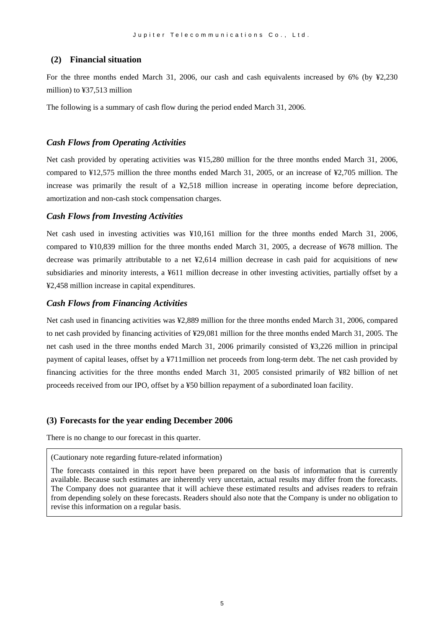#### **(2) Financial situation**

For the three months ended March 31, 2006, our cash and cash equivalents increased by 6% (by ¥2,230 million) to ¥37,513 million

The following is a summary of cash flow during the period ended March 31, 2006.

#### *Cash Flows from Operating Activities*

Net cash provided by operating activities was ¥15,280 million for the three months ended March 31, 2006, compared to ¥12,575 million the three months ended March 31, 2005, or an increase of ¥2,705 million. The increase was primarily the result of a ¥2,518 million increase in operating income before depreciation, amortization and non-cash stock compensation charges.

#### *Cash Flows from Investing Activities*

Net cash used in investing activities was ¥10,161 million for the three months ended March 31, 2006, compared to ¥10,839 million for the three months ended March 31, 2005, a decrease of ¥678 million. The decrease was primarily attributable to a net ¥2,614 million decrease in cash paid for acquisitions of new subsidiaries and minority interests, a ¥611 million decrease in other investing activities, partially offset by a ¥2,458 million increase in capital expenditures.

#### *Cash Flows from Financing Activities*

Net cash used in financing activities was ¥2,889 million for the three months ended March 31, 2006, compared to net cash provided by financing activities of ¥29,081 million for the three months ended March 31, 2005. The net cash used in the three months ended March 31, 2006 primarily consisted of ¥3,226 million in principal payment of capital leases, offset by a ¥711million net proceeds from long-term debt. The net cash provided by financing activities for the three months ended March 31, 2005 consisted primarily of ¥82 billion of net proceeds received from our IPO, offset by a ¥50 billion repayment of a subordinated loan facility.

#### **(3) Forecasts for the year ending December 2006**

There is no change to our forecast in this quarter.

(Cautionary note regarding future-related information)

The forecasts contained in this report have been prepared on the basis of information that is currently available. Because such estimates are inherently very uncertain, actual results may differ from the forecasts. The Company does not guarantee that it will achieve these estimated results and advises readers to refrain from depending solely on these forecasts. Readers should also note that the Company is under no obligation to revise this information on a regular basis.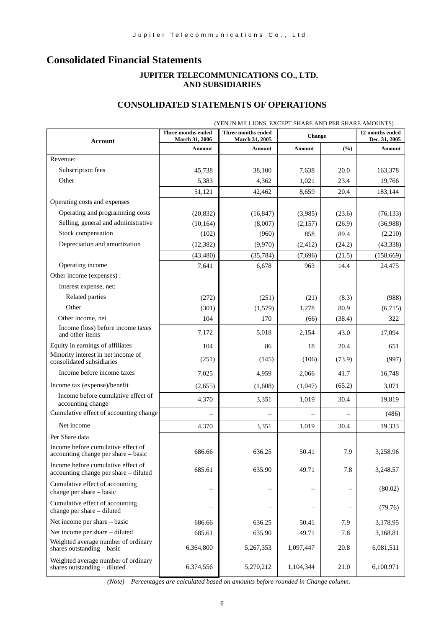# **Consolidated Financial Statements**

### **JUPITER TELECOMMUNICATIONS CO., LTD. AND SUBSIDIARIES**

# **CONSOLIDATED STATEMENTS OF OPERATIONS**

| (YEN IN MILLIONS, EXCEPT SHARE AND PER SHARE AMOUNTS)                       |                                      |                                             |           |        |                                  |
|-----------------------------------------------------------------------------|--------------------------------------|---------------------------------------------|-----------|--------|----------------------------------|
| <b>Account</b>                                                              | Three months ended<br>March 31, 2006 | <b>Three months ended</b><br>March 31, 2005 | Change    |        | 12 months ended<br>Dec. 31, 2005 |
|                                                                             | Amount                               | Amount                                      | Amount    | (%)    | Amount                           |
| Revenue:                                                                    |                                      |                                             |           |        |                                  |
| Subscription fees                                                           | 45,738                               | 38,100                                      | 7,638     | 20.0   | 163,378                          |
| Other                                                                       | 5,383                                | 4,362                                       | 1,021     | 23.4   | 19,766                           |
|                                                                             | 51,121                               | 42,462                                      | 8,659     | 20.4   | 183,144                          |
| Operating costs and expenses                                                |                                      |                                             |           |        |                                  |
| Operating and programming costs                                             | (20, 832)                            | (16, 847)                                   | (3,985)   | (23.6) | (76, 133)                        |
| Selling, general and administrative                                         | (10, 164)                            | (8,007)                                     | (2,157)   | (26.9) | (36,988)                         |
| Stock compensation                                                          | (102)                                | (960)                                       | 858       | 89.4   | (2,210)                          |
| Depreciation and amortization                                               | (12, 382)                            | (9,970)                                     | (2, 412)  | (24.2) | (43,338)                         |
|                                                                             | (43, 480)                            | (35,784)                                    | (7,696)   | (21.5) | (158,669)                        |
| Operating income                                                            | 7,641                                | 6,678                                       | 963       | 14.4   | 24,475                           |
| Other income (expenses):                                                    |                                      |                                             |           |        |                                  |
| Interest expense, net:                                                      |                                      |                                             |           |        |                                  |
| Related parties                                                             | (272)                                | (251)                                       | (21)      | (8.3)  | (988)                            |
| Other                                                                       | (301)                                | (1,579)                                     | 1,278     | 80.9   | (6,715)                          |
| Other income, net                                                           | 104                                  | 170                                         | (66)      | (38.4) | 322                              |
| Income (loss) before income taxes<br>and other items                        | 7,172                                | 5,018                                       | 2,154     | 43.0   | 17,094                           |
| Equity in earnings of affiliates                                            | 104                                  | 86                                          | 18        | 20.4   | 651                              |
| Minority interest in net income of<br>consolidated subsidiaries             | (251)                                | (145)                                       | (106)     | (73.9) | (997)                            |
| Income before income taxes                                                  | 7,025                                | 4,959                                       | 2,066     | 41.7   | 16,748                           |
| Income tax (expense)/benefit                                                | (2,655)                              | (1,608)                                     | (1,047)   | (65.2) | 3,071                            |
| Income before cumulative effect of<br>accounting change                     | 4,370                                | 3,351                                       | 1,019     | 30.4   | 19,819                           |
| Cumulative effect of accounting change                                      |                                      |                                             |           |        | (486)                            |
| Net income                                                                  | 4,370                                | 3,351                                       | 1,019     | 30.4   | 19,333                           |
| Per Share data                                                              |                                      |                                             |           |        |                                  |
| Income before cumulative effect of<br>accounting change per share - basic   | 686.66                               | 636.25                                      | 50.41     | 7.9    | 3.258.96                         |
| Income before cumulative effect of<br>accounting change per share - diluted | 685.61                               | 635.90                                      | 49.71     | 7.8    | 3,248.57                         |
| Cumulative effect of accounting<br>change per share - basic                 |                                      |                                             |           |        | (80.02)                          |
| Cumulative effect of accounting<br>change per share – diluted               |                                      |                                             |           |        | (79.76)                          |
| Net income per share – basic                                                | 686.66                               | 636.25                                      | 50.41     | 7.9    | 3,178.95                         |
| Net income per share – diluted                                              | 685.61                               | 635.90                                      | 49.71     | 7.8    | 3,168.81                         |
| Weighted average number of ordinary<br>shares outstanding - basic           | 6,364,800                            | 5,267,353                                   | 1,097,447 | 20.8   | 6,081,511                        |
| Weighted average number of ordinary<br>shares outstanding - diluted         | 6,374,556                            | 5,270,212                                   | 1,104,344 | 21.0   | 6,100,971                        |

*(Note) Percentages are calculated based on amounts before rounded in Change column.*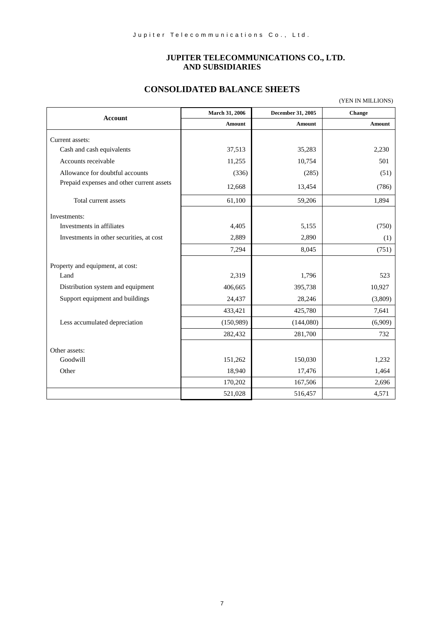### **JUPITER TELECOMMUNICATIONS CO., LTD. AND SUBSIDIARIES**

(YEN IN MILLIONS)

### **CONSOLIDATED BALANCE SHEETS**

|                                           | March 31, 2006 | December 31, 2005 | Change  |
|-------------------------------------------|----------------|-------------------|---------|
| <b>Account</b>                            | <b>Amount</b>  | Amount            | Amount  |
| Current assets:                           |                |                   |         |
| Cash and cash equivalents                 | 37,513         | 35,283            | 2,230   |
| Accounts receivable                       | 11,255         | 10,754            | 501     |
| Allowance for doubtful accounts           | (336)          | (285)             | (51)    |
| Prepaid expenses and other current assets | 12,668         | 13,454            | (786)   |
| Total current assets                      | 61,100         | 59,206            | 1,894   |
| Investments:                              |                |                   |         |
| Investments in affiliates                 | 4,405          | 5,155             | (750)   |
| Investments in other securities, at cost  | 2,889          | 2,890             | (1)     |
|                                           | 7,294          | 8,045             | (751)   |
|                                           |                |                   |         |
| Property and equipment, at cost:<br>Land  | 2,319          | 1,796             | 523     |
| Distribution system and equipment         | 406,665        | 395,738           | 10,927  |
| Support equipment and buildings           | 24,437         | 28,246            | (3,809) |
|                                           | 433,421        | 425,780           | 7,641   |
| Less accumulated depreciation             | (150,989)      | (144,080)         | (6,909) |
|                                           | 282,432        | 281,700           | 732     |
|                                           |                |                   |         |
| Other assets:                             |                |                   |         |
| Goodwill                                  | 151,262        | 150,030           | 1,232   |
| Other                                     | 18,940         | 17,476            | 1,464   |
|                                           | 170,202        | 167,506           | 2,696   |
|                                           | 521,028        | 516,457           | 4,571   |

7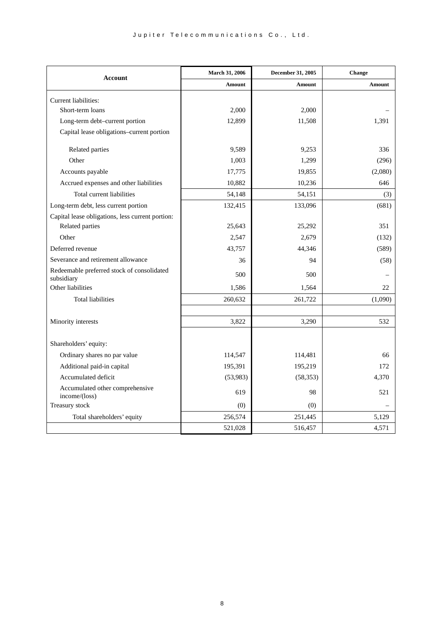| <b>Account</b>                                           | March 31, 2006 | December 31, 2005 | Change  |
|----------------------------------------------------------|----------------|-------------------|---------|
|                                                          | <b>Amount</b>  | Amount            | Amount  |
| Current liabilities:                                     |                |                   |         |
| Short-term loans                                         | 2.000          | 2,000             |         |
| Long-term debt-current portion                           | 12,899         | 11,508            | 1,391   |
| Capital lease obligations-current portion                |                |                   |         |
| Related parties                                          | 9,589          | 9,253             | 336     |
| Other                                                    | 1,003          | 1,299             | (296)   |
| Accounts payable                                         | 17,775         | 19,855            | (2,080) |
| Accrued expenses and other liabilities                   | 10,882         | 10,236            | 646     |
| Total current liabilities                                | 54,148         | 54,151            | (3)     |
| Long-term debt, less current portion                     | 132,415        | 133,096           | (681)   |
| Capital lease obligations, less current portion:         |                |                   |         |
| Related parties                                          | 25,643         | 25,292            | 351     |
| Other                                                    | 2,547          | 2,679             | (132)   |
| Deferred revenue                                         | 43,757         | 44,346            | (589)   |
| Severance and retirement allowance                       | 36             | 94                | (58)    |
| Redeemable preferred stock of consolidated<br>subsidiary | 500            | 500               |         |
| Other liabilities                                        | 1,586          | 1,564             | 22      |
| <b>Total liabilities</b>                                 | 260,632        | 261,722           | (1,090) |
|                                                          |                |                   |         |
| Minority interests                                       | 3,822          | 3,290             | 532     |
|                                                          |                |                   |         |
| Shareholders' equity:                                    |                |                   |         |
| Ordinary shares no par value                             | 114,547        | 114,481           | 66      |
| Additional paid-in capital                               | 195,391        | 195,219           | 172     |
| Accumulated deficit                                      | (53,983)       | (58, 353)         | 4,370   |
| Accumulated other comprehensive<br>income/(loss)         | 619            | 98                | 521     |
| Treasury stock                                           | (0)            | (0)               |         |
| Total shareholders' equity                               | 256,574        | 251,445           | 5.129   |
|                                                          | 521,028        | 516,457           | 4,571   |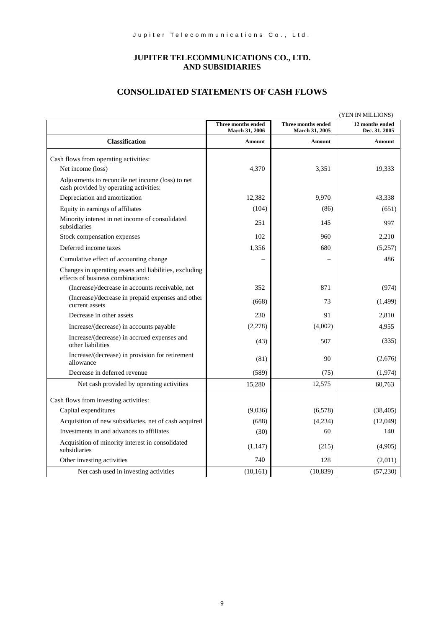### **JUPITER TELECOMMUNICATIONS CO., LTD. AND SUBSIDIARIES**

# **CONSOLIDATED STATEMENTS OF CASH FLOWS**

| (YEN IN MILLIONS)                                                                           |                                             |                                      |                                  |
|---------------------------------------------------------------------------------------------|---------------------------------------------|--------------------------------------|----------------------------------|
|                                                                                             | Three months ended<br><b>March 31, 2006</b> | Three months ended<br>March 31, 2005 | 12 months ended<br>Dec. 31, 2005 |
| <b>Classification</b>                                                                       | <b>Amount</b>                               | <b>Amount</b>                        | <b>Amount</b>                    |
| Cash flows from operating activities:                                                       |                                             |                                      |                                  |
| Net income (loss)                                                                           | 4,370                                       | 3,351                                | 19,333                           |
| Adjustments to reconcile net income (loss) to net<br>cash provided by operating activities: |                                             |                                      |                                  |
| Depreciation and amortization                                                               | 12,382                                      | 9.970                                | 43,338                           |
| Equity in earnings of affiliates                                                            | (104)                                       | (86)                                 | (651)                            |
| Minority interest in net income of consolidated<br>subsidiaries                             | 251                                         | 145                                  | 997                              |
| Stock compensation expenses                                                                 | 102                                         | 960                                  | 2,210                            |
| Deferred income taxes                                                                       | 1,356                                       | 680                                  | (5,257)                          |
| Cumulative effect of accounting change                                                      |                                             |                                      | 486                              |
| Changes in operating assets and liabilities, excluding<br>effects of business combinations: |                                             |                                      |                                  |
| (Increase)/decrease in accounts receivable, net                                             | 352                                         | 871                                  | (974)                            |
| (Increase)/decrease in prepaid expenses and other<br>current assets                         | (668)                                       | 73                                   | (1, 499)                         |
| Decrease in other assets                                                                    | 230                                         | 91                                   | 2,810                            |
| Increase/(decrease) in accounts payable                                                     | (2,278)                                     | (4,002)                              | 4,955                            |
| Increase/(decrease) in accrued expenses and<br>other liabilities                            | (43)                                        | 507                                  | (335)                            |
| Increase/(decrease) in provision for retirement<br>allowance                                | (81)                                        | 90                                   | (2,676)                          |
| Decrease in deferred revenue                                                                | (589)                                       | (75)                                 | (1,974)                          |
| Net cash provided by operating activities                                                   | 15,280                                      | 12,575                               | 60,763                           |
| Cash flows from investing activities:                                                       |                                             |                                      |                                  |
| Capital expenditures                                                                        | (9,036)                                     | (6,578)                              | (38, 405)                        |
| Acquisition of new subsidiaries, net of cash acquired                                       | (688)                                       | (4,234)                              | (12,049)                         |
| Investments in and advances to affiliates                                                   | (30)                                        | 60                                   | 140                              |
| Acquisition of minority interest in consolidated<br>subsidiaries                            | (1,147)                                     | (215)                                | (4,905)                          |
| Other investing activities                                                                  | 740                                         | 128                                  | (2,011)                          |
| Net cash used in investing activities                                                       | (10, 161)                                   | (10, 839)                            | (57, 230)                        |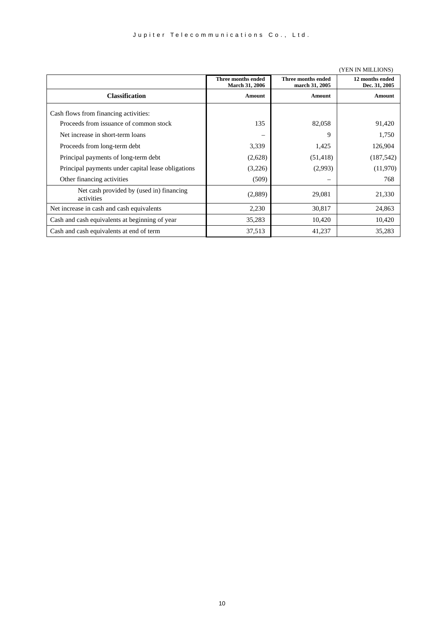|                                                        |                                             |                                      | (TETA ITA INITETOTAS)            |
|--------------------------------------------------------|---------------------------------------------|--------------------------------------|----------------------------------|
|                                                        | Three months ended<br><b>March 31, 2006</b> | Three months ended<br>march 31, 2005 | 12 months ended<br>Dec. 31, 2005 |
| <b>Classification</b>                                  | Amount                                      | <b>Amount</b>                        | Amount                           |
| Cash flows from financing activities:                  |                                             |                                      |                                  |
| Proceeds from issuance of common stock                 | 135                                         | 82,058                               | 91,420                           |
| Net increase in short-term loans                       |                                             | 9                                    | 1,750                            |
| Proceeds from long-term debt                           | 3,339                                       | 1,425                                | 126,904                          |
| Principal payments of long-term debt                   | (2,628)                                     | (51, 418)                            | (187, 542)                       |
| Principal payments under capital lease obligations     | (3,226)                                     | (2,993)                              | (11,970)                         |
| Other financing activities                             | (509)                                       |                                      | 768                              |
| Net cash provided by (used in) financing<br>activities | (2,889)                                     | 29,081                               | 21,330                           |
| Net increase in cash and cash equivalents              | 2,230                                       | 30,817                               | 24,863                           |
| Cash and cash equivalents at beginning of year         | 35,283                                      | 10,420                               | 10,420                           |
| Cash and cash equivalents at end of term               | 37,513                                      | 41,237                               | 35,283                           |

#### (YEN IN MILLIONS)